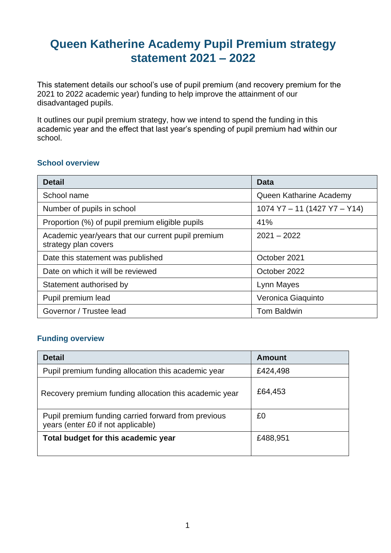# **Queen Katherine Academy Pupil Premium strategy statement 2021 – 2022**

This statement details our school's use of pupil premium (and recovery premium for the 2021 to 2022 academic year) funding to help improve the attainment of our disadvantaged pupils.

It outlines our pupil premium strategy, how we intend to spend the funding in this academic year and the effect that last year's spending of pupil premium had within our school.

#### **School overview**

| <b>Detail</b>                                                              | Data                         |  |
|----------------------------------------------------------------------------|------------------------------|--|
| School name                                                                | Queen Katharine Academy      |  |
| Number of pupils in school                                                 | 1074 Y7 - 11 (1427 Y7 - Y14) |  |
| Proportion (%) of pupil premium eligible pupils                            | 41%                          |  |
| Academic year/years that our current pupil premium<br>strategy plan covers | $2021 - 2022$                |  |
| Date this statement was published                                          | October 2021                 |  |
| Date on which it will be reviewed                                          | October 2022                 |  |
| Statement authorised by                                                    | Lynn Mayes                   |  |
| Pupil premium lead                                                         | Veronica Giaquinto           |  |
| Governor / Trustee lead                                                    | <b>Tom Baldwin</b>           |  |

### **Funding overview**

| <b>Detail</b>                                                                             | <b>Amount</b> |
|-------------------------------------------------------------------------------------------|---------------|
| Pupil premium funding allocation this academic year                                       | £424,498      |
| Recovery premium funding allocation this academic year                                    | £64,453       |
| Pupil premium funding carried forward from previous<br>years (enter £0 if not applicable) | £0            |
| Total budget for this academic year                                                       | £488,951      |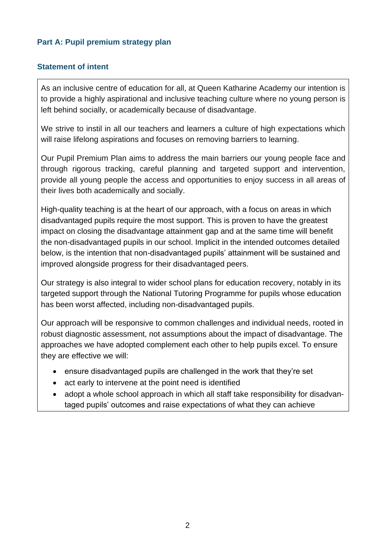### **Part A: Pupil premium strategy plan**

### **Statement of intent**

As an inclusive centre of education for all, at Queen Katharine Academy our intention is to provide a highly aspirational and inclusive teaching culture where no young person is left behind socially, or academically because of disadvantage.

We strive to instil in all our teachers and learners a culture of high expectations which will raise lifelong aspirations and focuses on removing barriers to learning.

Our Pupil Premium Plan aims to address the main barriers our young people face and through rigorous tracking, careful planning and targeted support and intervention, provide all young people the access and opportunities to enjoy success in all areas of their lives both academically and socially.

High-quality teaching is at the heart of our approach, with a focus on areas in which disadvantaged pupils require the most support. This is proven to have the greatest impact on closing the disadvantage attainment gap and at the same time will benefit the non-disadvantaged pupils in our school. Implicit in the intended outcomes detailed below, is the intention that non-disadvantaged pupils' attainment will be sustained and improved alongside progress for their disadvantaged peers.

Our strategy is also integral to wider school plans for education recovery, notably in its targeted support through the National Tutoring Programme for pupils whose education has been worst affected, including non-disadvantaged pupils.

Our approach will be responsive to common challenges and individual needs, rooted in robust diagnostic assessment, not assumptions about the impact of disadvantage. The approaches we have adopted complement each other to help pupils excel. To ensure they are effective we will:

- ensure disadvantaged pupils are challenged in the work that they're set
- act early to intervene at the point need is identified
- adopt a whole school approach in which all staff take responsibility for disadvantaged pupils' outcomes and raise expectations of what they can achieve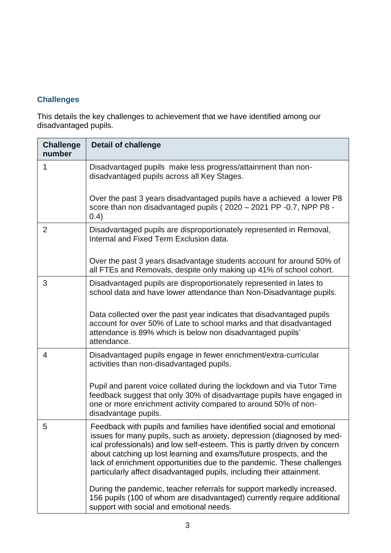## **Challenges**

This details the key challenges to achievement that we have identified among our disadvantaged pupils.

| <b>Challenge</b><br>number | <b>Detail of challenge</b>                                                                                                                                                                                                                                                                                                                                                                                                                              |
|----------------------------|---------------------------------------------------------------------------------------------------------------------------------------------------------------------------------------------------------------------------------------------------------------------------------------------------------------------------------------------------------------------------------------------------------------------------------------------------------|
| 1                          | Disadvantaged pupils make less progress/attainment than non-<br>disadvantaged pupils across all Key Stages.                                                                                                                                                                                                                                                                                                                                             |
|                            | Over the past 3 years disadvantaged pupils have a achieved a lower P8<br>score than non disadvantaged pupils (2020 - 2021 PP -0.7, NPP P8 -<br>(0.4)                                                                                                                                                                                                                                                                                                    |
| $\overline{2}$             | Disadvantaged pupils are disproportionately represented in Removal,<br>Internal and Fixed Term Exclusion data.                                                                                                                                                                                                                                                                                                                                          |
|                            | Over the past 3 years disadvantage students account for around 50% of<br>all FTEs and Removals, despite only making up 41% of school cohort.                                                                                                                                                                                                                                                                                                            |
| 3                          | Disadvantaged pupils are disproportionately represented in lates to<br>school data and have lower attendance than Non-Disadvantage pupils.                                                                                                                                                                                                                                                                                                              |
|                            | Data collected over the past year indicates that disadvantaged pupils<br>account for over 50% of Late to school marks and that disadvantaged<br>attendance is 89% which is below non disadvantaged pupils'<br>attendance.                                                                                                                                                                                                                               |
| 4                          | Disadvantaged pupils engage in fewer enrichment/extra-curricular<br>activities than non-disadvantaged pupils.                                                                                                                                                                                                                                                                                                                                           |
|                            | Pupil and parent voice collated during the lockdown and via Tutor Time<br>feedback suggest that only 30% of disadvantage pupils have engaged in<br>one or more enrichment activity compared to around 50% of non-<br>disadvantage pupils.                                                                                                                                                                                                               |
| 5                          | Feedback with pupils and families have identified social and emotional<br>issues for many pupils, such as anxiety, depression (diagnosed by med-<br>ical professionals) and low self-esteem. This is partly driven by concern<br>about catching up lost learning and exams/future prospects, and the<br>lack of enrichment opportunities due to the pandemic. These challenges<br>particularly affect disadvantaged pupils, including their attainment. |
|                            | During the pandemic, teacher referrals for support markedly increased.<br>156 pupils (100 of whom are disadvantaged) currently require additional<br>support with social and emotional needs.                                                                                                                                                                                                                                                           |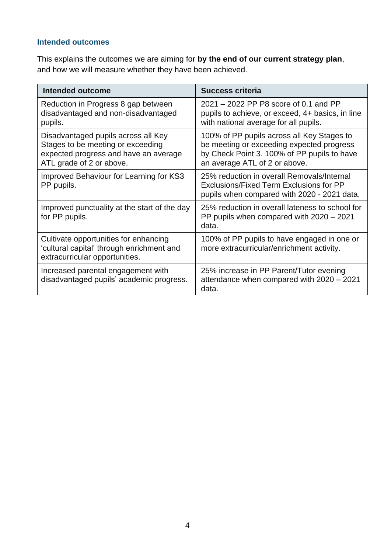### **Intended outcomes**

This explains the outcomes we are aiming for **by the end of our current strategy plan**, and how we will measure whether they have been achieved.

| <b>Intended outcome</b>                                                                                                                       | <b>Success criteria</b>                                                                                                                                                 |  |
|-----------------------------------------------------------------------------------------------------------------------------------------------|-------------------------------------------------------------------------------------------------------------------------------------------------------------------------|--|
| Reduction in Progress 8 gap between<br>disadvantaged and non-disadvantaged<br>pupils.                                                         | 2021 – 2022 PP P8 score of 0.1 and PP<br>pupils to achieve, or exceed, 4+ basics, in line<br>with national average for all pupils.                                      |  |
| Disadvantaged pupils across all Key<br>Stages to be meeting or exceeding<br>expected progress and have an average<br>ATL grade of 2 or above. | 100% of PP pupils across all Key Stages to<br>be meeting or exceeding expected progress<br>by Check Point 3. 100% of PP pupils to have<br>an average ATL of 2 or above. |  |
| Improved Behaviour for Learning for KS3<br>PP pupils.                                                                                         | 25% reduction in overall Removals/Internal<br>Exclusions/Fixed Term Exclusions for PP<br>pupils when compared with 2020 - 2021 data.                                    |  |
| Improved punctuality at the start of the day<br>for PP pupils.                                                                                | 25% reduction in overall lateness to school for<br>PP pupils when compared with 2020 - 2021<br>data.                                                                    |  |
| Cultivate opportunities for enhancing<br>'cultural capital' through enrichment and<br>extracurricular opportunities.                          | 100% of PP pupils to have engaged in one or<br>more extracurricular/enrichment activity.                                                                                |  |
| Increased parental engagement with<br>disadvantaged pupils' academic progress.                                                                | 25% increase in PP Parent/Tutor evening<br>attendance when compared with 2020 - 2021<br>data.                                                                           |  |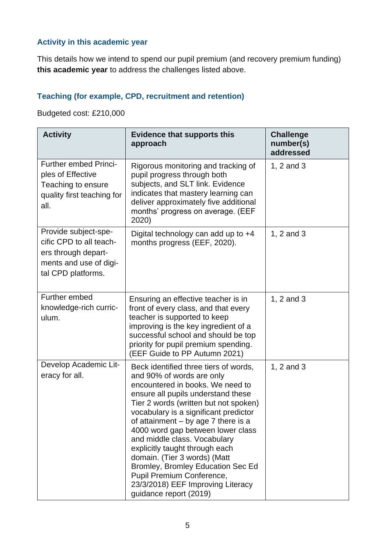# **Activity in this academic year**

This details how we intend to spend our pupil premium (and recovery premium funding) **this academic year** to address the challenges listed above.

### **Teaching (for example, CPD, recruitment and retention)**

Budgeted cost: £210,000

| <b>Activity</b>                                                                                                        | <b>Evidence that supports this</b><br>approach                                                                                                                                                                                                                                                                                                                                                                                                                                                                                                  | <b>Challenge</b><br>number(s)<br>addressed |
|------------------------------------------------------------------------------------------------------------------------|-------------------------------------------------------------------------------------------------------------------------------------------------------------------------------------------------------------------------------------------------------------------------------------------------------------------------------------------------------------------------------------------------------------------------------------------------------------------------------------------------------------------------------------------------|--------------------------------------------|
| <b>Further embed Princi-</b><br>ples of Effective<br>Teaching to ensure<br>quality first teaching for<br>all.          | Rigorous monitoring and tracking of<br>pupil progress through both<br>subjects, and SLT link. Evidence<br>indicates that mastery learning can<br>deliver approximately five additional<br>months' progress on average. (EEF<br>2020)                                                                                                                                                                                                                                                                                                            | 1, $2$ and $3$                             |
| Provide subject-spe-<br>cific CPD to all teach-<br>ers through depart-<br>ments and use of digi-<br>tal CPD platforms. | Digital technology can add up to $+4$<br>months progress (EEF, 2020).                                                                                                                                                                                                                                                                                                                                                                                                                                                                           | 1, $2$ and $3$                             |
| Further embed<br>knowledge-rich curric-<br>ulum.                                                                       | Ensuring an effective teacher is in<br>front of every class, and that every<br>teacher is supported to keep<br>improving is the key ingredient of a<br>successful school and should be top<br>priority for pupil premium spending.<br>(EEF Guide to PP Autumn 2021)                                                                                                                                                                                                                                                                             | 1, 2 and 3                                 |
| Develop Academic Lit-<br>eracy for all.                                                                                | Beck identified three tiers of words,<br>and 90% of words are only<br>encountered in books. We need to<br>ensure all pupils understand these<br>Tier 2 words (written but not spoken)<br>vocabulary is a significant predictor<br>of attainment $-$ by age 7 there is a<br>4000 word gap between lower class<br>and middle class. Vocabulary<br>explicitly taught through each<br>domain. (Tier 3 words) (Matt<br>Bromley, Bromley Education Sec Ed<br>Pupil Premium Conference,<br>23/3/2018) EEF Improving Literacy<br>guidance report (2019) | 1, 2 and 3                                 |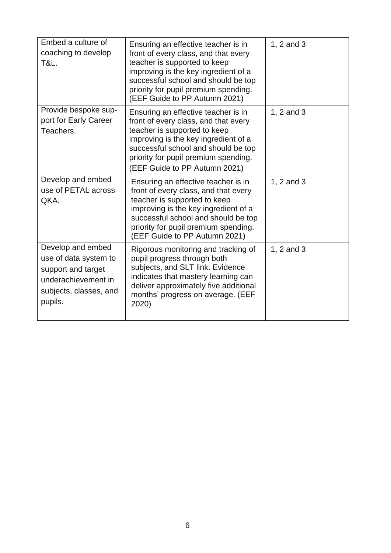| Embed a culture of<br>coaching to develop<br><b>T&amp;L.</b>                                                                 | Ensuring an effective teacher is in<br>front of every class, and that every<br>teacher is supported to keep<br>improving is the key ingredient of a<br>successful school and should be top<br>priority for pupil premium spending.<br>(EEF Guide to PP Autumn 2021) | 1, 2 and 3 |
|------------------------------------------------------------------------------------------------------------------------------|---------------------------------------------------------------------------------------------------------------------------------------------------------------------------------------------------------------------------------------------------------------------|------------|
| Provide bespoke sup-<br>port for Early Career<br>Teachers.                                                                   | Ensuring an effective teacher is in<br>front of every class, and that every<br>teacher is supported to keep<br>improving is the key ingredient of a<br>successful school and should be top<br>priority for pupil premium spending.<br>(EEF Guide to PP Autumn 2021) | 1, 2 and 3 |
| Develop and embed<br>use of PETAL across<br>QKA.                                                                             | Ensuring an effective teacher is in<br>front of every class, and that every<br>teacher is supported to keep<br>improving is the key ingredient of a<br>successful school and should be top<br>priority for pupil premium spending.<br>(EEF Guide to PP Autumn 2021) | 1, 2 and 3 |
| Develop and embed<br>use of data system to<br>support and target<br>underachievement in<br>subjects, classes, and<br>pupils. | Rigorous monitoring and tracking of<br>pupil progress through both<br>subjects, and SLT link. Evidence<br>indicates that mastery learning can<br>deliver approximately five additional<br>months' progress on average. (EEF<br>2020)                                | 1, 2 and 3 |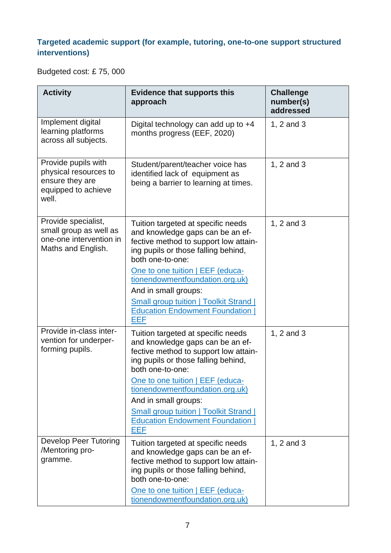## **Targeted academic support (for example, tutoring, one-to-one support structured interventions)**

Budgeted cost: £ 75, 000

| <b>Activity</b>                                                                                 | <b>Evidence that supports this</b><br>approach                                                                                                                             | <b>Challenge</b><br>number(s)<br>addressed |
|-------------------------------------------------------------------------------------------------|----------------------------------------------------------------------------------------------------------------------------------------------------------------------------|--------------------------------------------|
| Implement digital<br>learning platforms<br>across all subjects.                                 | Digital technology can add up to +4<br>months progress (EEF, 2020)                                                                                                         | 1, 2 and 3                                 |
| Provide pupils with<br>physical resources to<br>ensure they are<br>equipped to achieve<br>well. | Student/parent/teacher voice has<br>identified lack of equipment as<br>being a barrier to learning at times.                                                               | 1, 2 and 3                                 |
| Provide specialist,<br>small group as well as<br>one-one intervention in<br>Maths and English.  | Tuition targeted at specific needs<br>and knowledge gaps can be an ef-<br>fective method to support low attain-<br>ing pupils or those falling behind,<br>both one-to-one: | 1, 2 and 3                                 |
|                                                                                                 | One to one tuition   EEF (educa-<br>tionendowmentfoundation.org.uk)<br>And in small groups:                                                                                |                                            |
|                                                                                                 | <b>Small group tuition   Toolkit Strand  </b><br><b>Education Endowment Foundation</b><br>EEF                                                                              |                                            |
| Provide in-class inter-<br>vention for underper-<br>forming pupils.                             | Tuition targeted at specific needs<br>and knowledge gaps can be an ef-<br>fective method to support low attain-<br>ing pupils or those falling behind,<br>both one-to-one: | 1, 2 and 3                                 |
|                                                                                                 | One to one tuition   EEF (educa-<br>tionendowmentfoundation.org.uk)                                                                                                        |                                            |
|                                                                                                 | And in small groups:<br><b>Small group tuition   Toolkit Strand  </b><br><b>Education Endowment Foundation</b><br>EEF                                                      |                                            |
| <b>Develop Peer Tutoring</b><br>/Mentoring pro-<br>gramme.                                      | Tuition targeted at specific needs<br>and knowledge gaps can be an ef-<br>fective method to support low attain-<br>ing pupils or those falling behind,<br>both one-to-one: | 1, 2 and 3                                 |
|                                                                                                 | One to one tuition   EEF (educa-<br>tionendowmentfoundation.org.uk)                                                                                                        |                                            |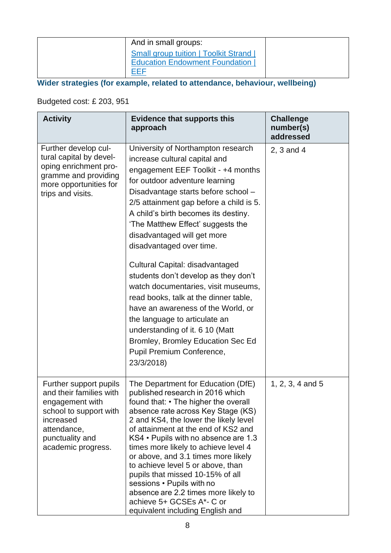| And in small groups:                                                                          |  |
|-----------------------------------------------------------------------------------------------|--|
| <b>Small group tuition   Toolkit Strand  </b><br><b>Education Endowment Foundation</b><br>EEF |  |

**Wider strategies (for example, related to attendance, behaviour, wellbeing)**

Budgeted cost: £ 203, 951

| <b>Activity</b>                                                                                                                                                     | <b>Evidence that supports this</b><br>approach                                                                                                                                                                                                                                                                                                                                                                                                                                                                                                                                                                                                                                                                             | <b>Challenge</b><br>number(s)<br>addressed |
|---------------------------------------------------------------------------------------------------------------------------------------------------------------------|----------------------------------------------------------------------------------------------------------------------------------------------------------------------------------------------------------------------------------------------------------------------------------------------------------------------------------------------------------------------------------------------------------------------------------------------------------------------------------------------------------------------------------------------------------------------------------------------------------------------------------------------------------------------------------------------------------------------------|--------------------------------------------|
| Further develop cul-<br>tural capital by devel-<br>oping enrichment pro-<br>gramme and providing<br>more opportunities for<br>trips and visits.                     | University of Northampton research<br>increase cultural capital and<br>engagement EEF Toolkit - +4 months<br>for outdoor adventure learning<br>Disadvantage starts before school -<br>2/5 attainment gap before a child is 5.<br>A child's birth becomes its destiny.<br>'The Matthew Effect' suggests the<br>disadvantaged will get more<br>disadvantaged over time.<br>Cultural Capital: disadvantaged<br>students don't develop as they don't<br>watch documentaries, visit museums,<br>read books, talk at the dinner table,<br>have an awareness of the World, or<br>the language to articulate an<br>understanding of it. 6 10 (Matt<br>Bromley, Bromley Education Sec Ed<br>Pupil Premium Conference,<br>23/3/2018) | 2, 3 and 4                                 |
| Further support pupils<br>and their families with<br>engagement with<br>school to support with<br>increased<br>attendance,<br>punctuality and<br>academic progress. | The Department for Education (DfE)<br>published research in 2016 which<br>found that: • The higher the overall<br>absence rate across Key Stage (KS)<br>2 and KS4, the lower the likely level<br>of attainment at the end of KS2 and<br>KS4 • Pupils with no absence are 1.3<br>times more likely to achieve level 4<br>or above, and 3.1 times more likely<br>to achieve level 5 or above, than<br>pupils that missed 10-15% of all<br>sessions • Pupils with no<br>absence are 2.2 times more likely to<br>achieve 5+ GCSEs A*- C or<br>equivalent including English and                                                                                                                                                 | $1, 2, 3, 4$ and 5                         |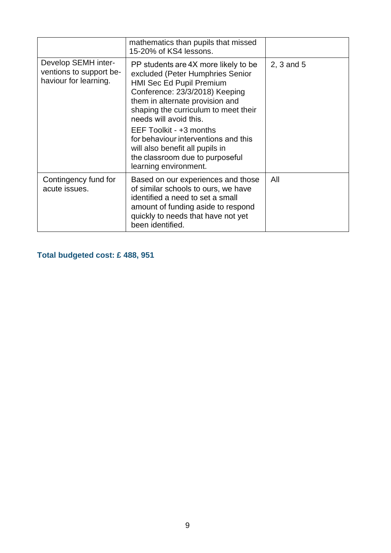|                                                                         | mathematics than pupils that missed<br>15-20% of KS4 lessons.                                                                                                                                                                                                                                                                                                                                                 |              |
|-------------------------------------------------------------------------|---------------------------------------------------------------------------------------------------------------------------------------------------------------------------------------------------------------------------------------------------------------------------------------------------------------------------------------------------------------------------------------------------------------|--------------|
| Develop SEMH inter-<br>ventions to support be-<br>haviour for learning. | PP students are 4X more likely to be<br>excluded (Peter Humphries Senior<br>HMI Sec Ed Pupil Premium<br>Conference: 23/3/2018) Keeping<br>them in alternate provision and<br>shaping the curriculum to meet their<br>needs will avoid this.<br>EEF Toolkit - +3 months<br>for behaviour interventions and this<br>will also benefit all pupils in<br>the classroom due to purposeful<br>learning environment. | $2, 3$ and 5 |
| Contingency fund for<br>acute issues.                                   | Based on our experiences and those<br>of similar schools to ours, we have<br>identified a need to set a small<br>amount of funding aside to respond<br>quickly to needs that have not yet<br>been identified.                                                                                                                                                                                                 | All          |

**Total budgeted cost: £ 488, 951**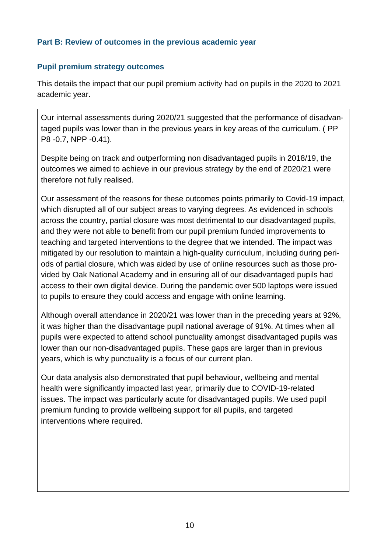### **Part B: Review of outcomes in the previous academic year**

### **Pupil premium strategy outcomes**

This details the impact that our pupil premium activity had on pupils in the 2020 to 2021 academic year.

Our internal assessments during 2020/21 suggested that the performance of disadvantaged pupils was lower than in the previous years in key areas of the curriculum. ( PP P8 -0.7, NPP -0.41).

Despite being on track and outperforming non disadvantaged pupils in 2018/19, the outcomes we aimed to achieve in our previous strategy by the end of 2020/21 were therefore not fully realised.

Our assessment of the reasons for these outcomes points primarily to Covid-19 impact, which disrupted all of our subject areas to varying degrees. As evidenced in schools across the country, partial closure was most detrimental to our disadvantaged pupils, and they were not able to benefit from our pupil premium funded improvements to teaching and targeted interventions to the degree that we intended. The impact was mitigated by our resolution to maintain a high-quality curriculum, including during periods of partial closure, which was aided by use of online resources such as those provided by Oak National Academy and in ensuring all of our disadvantaged pupils had access to their own digital device. During the pandemic over 500 laptops were issued to pupils to ensure they could access and engage with online learning.

Although overall attendance in 2020/21 was lower than in the preceding years at 92%, it was higher than the disadvantage pupil national average of 91%. At times when all pupils were expected to attend school punctuality amongst disadvantaged pupils was lower than our non-disadvantaged pupils. These gaps are larger than in previous years, which is why punctuality is a focus of our current plan.

Our data analysis also demonstrated that pupil behaviour, wellbeing and mental health were significantly impacted last year, primarily due to COVID-19-related issues. The impact was particularly acute for disadvantaged pupils. We used pupil premium funding to provide wellbeing support for all pupils, and targeted interventions where required.